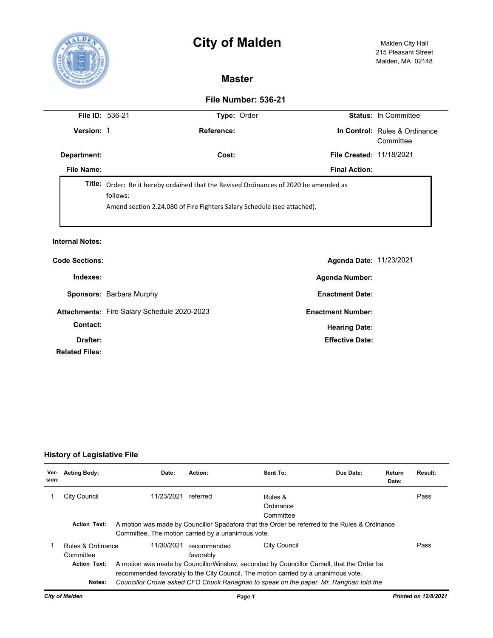# **City of Malden** Malden City Hall



## **Master**

### **File Number: 536-21**

| <b>File ID: 536-21</b> |                                                                                                                                                                                     | <b>Type: Order</b> |  |                                 | <b>Status: In Committee</b>                |  |  |
|------------------------|-------------------------------------------------------------------------------------------------------------------------------------------------------------------------------------|--------------------|--|---------------------------------|--------------------------------------------|--|--|
| Version: 1             |                                                                                                                                                                                     | Reference:         |  |                                 | In Control: Rules & Ordinance<br>Committee |  |  |
| Department:            |                                                                                                                                                                                     | Cost:              |  | <b>File Created: 11/18/2021</b> |                                            |  |  |
| File Name:             |                                                                                                                                                                                     |                    |  | <b>Final Action:</b>            |                                            |  |  |
|                        | <b>Title:</b> Order: Be it hereby ordained that the Revised Ordinances of 2020 be amended as<br>follows:<br>Amend section 2.24.080 of Fire Fighters Salary Schedule (see attached). |                    |  |                                 |                                            |  |  |

#### **Internal Notes:**

| <b>Code Sections:</b>             |                                             | Agenda Date: 11/23/2021  |  |
|-----------------------------------|---------------------------------------------|--------------------------|--|
| Indexes:                          |                                             | <b>Agenda Number:</b>    |  |
|                                   | Sponsors: Barbara Murphy                    | <b>Enactment Date:</b>   |  |
|                                   | Attachments: Fire Salary Schedule 2020-2023 | <b>Enactment Number:</b> |  |
| Contact:                          |                                             | <b>Hearing Date:</b>     |  |
| Drafter:<br><b>Related Files:</b> |                                             | <b>Effective Date:</b>   |  |

## **History of Legislative File**

| Ver-<br>sion: | <b>Acting Body:</b>                                   | Date:                                                                                                                                                                                                                                                                   | Action:                  | Sent To:                          | Due Date: | Return<br>Date: | Result: |
|---------------|-------------------------------------------------------|-------------------------------------------------------------------------------------------------------------------------------------------------------------------------------------------------------------------------------------------------------------------------|--------------------------|-----------------------------------|-----------|-----------------|---------|
|               | City Council                                          | 11/23/2021                                                                                                                                                                                                                                                              | referred                 | Rules &<br>Ordinance<br>Committee |           |                 | Pass    |
|               | <b>Action Text:</b>                                   | A motion was made by Councillor Spadafora that the Order be referred to the Rules & Ordinance<br>Committee. The motion carried by a unanimous vote.                                                                                                                     |                          |                                   |           |                 |         |
|               | Rules & Ordinance<br>Committee<br><b>Action Text:</b> | 11/30/2021                                                                                                                                                                                                                                                              | recommended<br>favorably | <b>City Council</b>               |           |                 | Pass    |
|               | Notes:                                                | A motion was made by CouncillorWinslow, seconded by Councillor Camell, that the Order be<br>recommended favorably to the City Council. The motion carried by a unanimous vote.<br>Councillor Crowe asked CFO Chuck Ranaghan to speak on the paper. Mr. Ranghan told the |                          |                                   |           |                 |         |